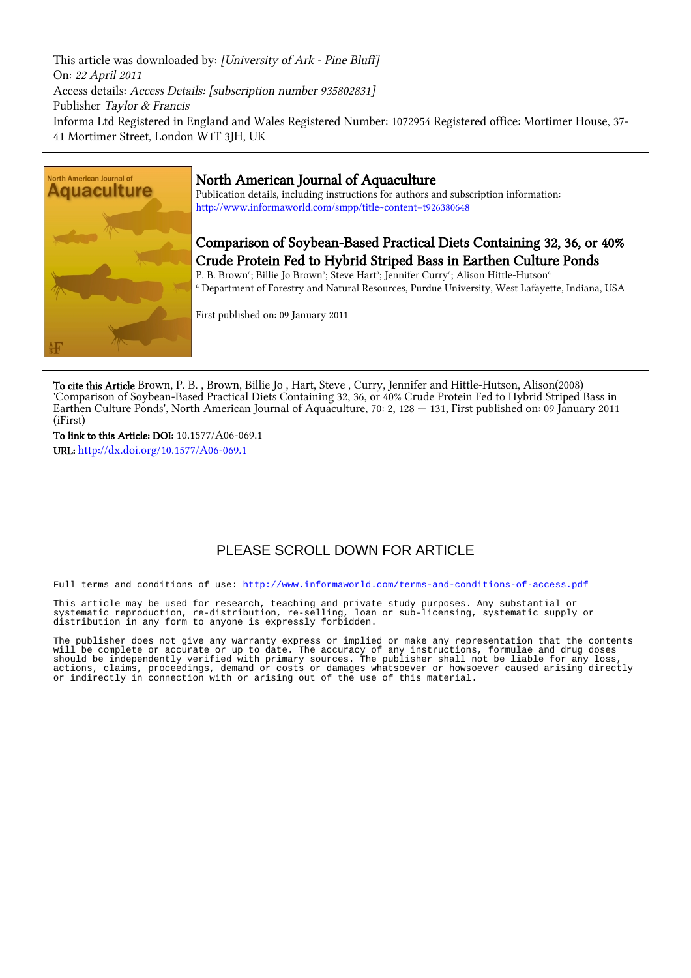This article was downloaded by: [University of Ark - Pine Bluff] On: 22 April 2011 Access details: Access Details: [subscription number 935802831] Publisher Taylor & Francis Informa Ltd Registered in England and Wales Registered Number: 1072954 Registered office: Mortimer House, 37- 41 Mortimer Street, London W1T 3JH, UK



## North American Journal of Aquaculture

Publication details, including instructions for authors and subscription information: <http://www.informaworld.com/smpp/title~content=t926380648>

# Comparison of Soybean-Based Practical Diets Containing 32, 36, or 40% Crude Protein Fed to Hybrid Striped Bass in Earthen Culture Ponds

P. B. Brown<sup>a</sup>; Billie Jo Brown<sup>a</sup>; Steve Hart<sup>a</sup>; Jennifer Curry<sup>a</sup>; Alison Hittle-Hutson<sup>a</sup> a Department of Forestry and Natural Resources, Purdue University, West Lafayette, Indiana, USA

First published on: 09 January 2011

To cite this Article Brown, P. B. , Brown, Billie Jo , Hart, Steve , Curry, Jennifer and Hittle-Hutson, Alison(2008) 'Comparison of Soybean-Based Practical Diets Containing 32, 36, or 40% Crude Protein Fed to Hybrid Striped Bass in Earthen Culture Ponds', North American Journal of Aquaculture, 70: 2, 128 — 131, First published on: 09 January 2011 (iFirst)

To link to this Article: DOI: 10.1577/A06-069.1 URL: <http://dx.doi.org/10.1577/A06-069.1>

# PLEASE SCROLL DOWN FOR ARTICLE

Full terms and conditions of use:<http://www.informaworld.com/terms-and-conditions-of-access.pdf>

This article may be used for research, teaching and private study purposes. Any substantial or systematic reproduction, re-distribution, re-selling, loan or sub-licensing, systematic supply or distribution in any form to anyone is expressly forbidden.

The publisher does not give any warranty express or implied or make any representation that the contents will be complete or accurate or up to date. The accuracy of any instructions, formulae and drug doses should be independently verified with primary sources. The publisher shall not be liable for any loss, actions, claims, proceedings, demand or costs or damages whatsoever or howsoever caused arising directly or indirectly in connection with or arising out of the use of this material.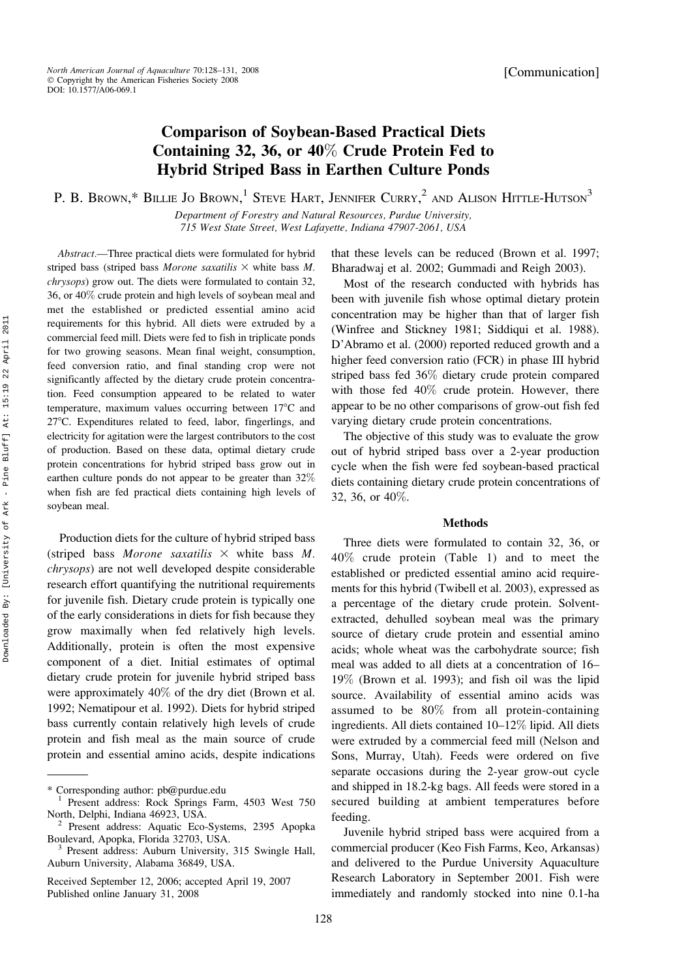[Communication]

## Comparison of Soybean-Based Practical Diets Containing 32, 36, or 40% Crude Protein Fed to Hybrid Striped Bass in Earthen Culture Ponds

P. B. Brown,\* Billie Jo Brown,<sup>1</sup> Steve Hart, Jennifer Curry,<sup>2</sup> and Alison Hittle-Hutson<sup>3</sup>

Department of Forestry and Natural Resources, Purdue University, 715 West State Street, West Lafayette, Indiana 47907-2061, USA

Abstract.—Three practical diets were formulated for hybrid striped bass (striped bass Morone saxatilis  $\times$  white bass M. chrysops) grow out. The diets were formulated to contain 32, 36, or 40% crude protein and high levels of soybean meal and met the established or predicted essential amino acid requirements for this hybrid. All diets were extruded by a commercial feed mill. Diets were fed to fish in triplicate ponds for two growing seasons. Mean final weight, consumption, feed conversion ratio, and final standing crop were not significantly affected by the dietary crude protein concentration. Feed consumption appeared to be related to water temperature, maximum values occurring between  $17^{\circ}$ C and 27°C. Expenditures related to feed, labor, fingerlings, and electricity for agitation were the largest contributors to the cost of production. Based on these data, optimal dietary crude protein concentrations for hybrid striped bass grow out in earthen culture ponds do not appear to be greater than 32% when fish are fed practical diets containing high levels of soybean meal.

Production diets for the culture of hybrid striped bass (striped bass Morone saxatilis  $\times$  white bass M. chrysops) are not well developed despite considerable research effort quantifying the nutritional requirements for juvenile fish. Dietary crude protein is typically one of the early considerations in diets for fish because they grow maximally when fed relatively high levels. Additionally, protein is often the most expensive component of a diet. Initial estimates of optimal dietary crude protein for juvenile hybrid striped bass were approximately 40% of the dry diet (Brown et al. 1992; Nematipour et al. 1992). Diets for hybrid striped bass currently contain relatively high levels of crude protein and fish meal as the main source of crude protein and essential amino acids, despite indications

128

that these levels can be reduced (Brown et al. 1997; Bharadwaj et al. 2002; Gummadi and Reigh 2003).

Most of the research conducted with hybrids has been with juvenile fish whose optimal dietary protein concentration may be higher than that of larger fish (Winfree and Stickney 1981; Siddiqui et al. 1988). D'Abramo et al. (2000) reported reduced growth and a higher feed conversion ratio (FCR) in phase III hybrid striped bass fed 36% dietary crude protein compared with those fed 40% crude protein. However, there appear to be no other comparisons of grow-out fish fed varying dietary crude protein concentrations.

The objective of this study was to evaluate the grow out of hybrid striped bass over a 2-year production cycle when the fish were fed soybean-based practical diets containing dietary crude protein concentrations of 32, 36, or 40%.

#### Methods

Three diets were formulated to contain 32, 36, or 40% crude protein (Table 1) and to meet the established or predicted essential amino acid requirements for this hybrid (Twibell et al. 2003), expressed as a percentage of the dietary crude protein. Solventextracted, dehulled soybean meal was the primary source of dietary crude protein and essential amino acids; whole wheat was the carbohydrate source; fish meal was added to all diets at a concentration of 16– 19% (Brown et al. 1993); and fish oil was the lipid source. Availability of essential amino acids was assumed to be 80% from all protein-containing ingredients. All diets contained 10–12% lipid. All diets were extruded by a commercial feed mill (Nelson and Sons, Murray, Utah). Feeds were ordered on five separate occasions during the 2-year grow-out cycle and shipped in 18.2-kg bags. All feeds were stored in a secured building at ambient temperatures before feeding.

Juvenile hybrid striped bass were acquired from a commercial producer (Keo Fish Farms, Keo, Arkansas) and delivered to the Purdue University Aquaculture Research Laboratory in September 2001. Fish were immediately and randomly stocked into nine 0.1-ha

<sup>\*</sup> Corresponding author: pb@purdue.edu <sup>1</sup> Present address: Rock Springs Farm, 4503 West 750

North, Delphi, Indiana 46923, USA.<br><sup>2</sup> Present address: Aquatic Eco-Systems, 2395 Apopka<br>Boulevard, Apopka, Florida 32703, USA.

Present address: Auburn University, 315 Swingle Hall, Auburn University, Alabama 36849, USA.

Received September 12, 2006; accepted April 19, 2007 Published online January 31, 2008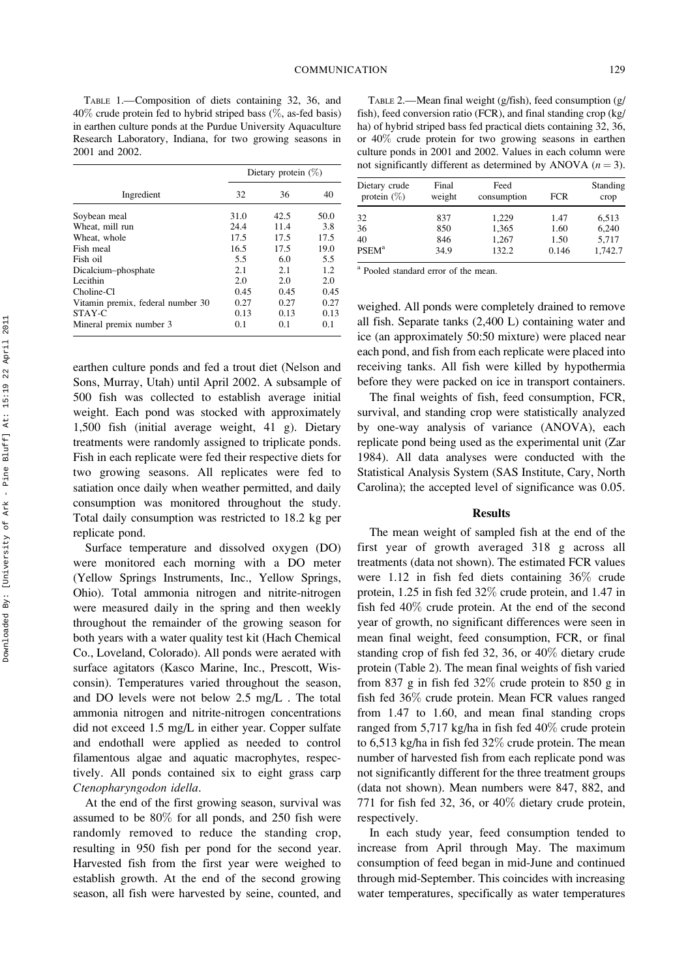TABLE 1.—Composition of diets containing 32, 36, and 40% crude protein fed to hybrid striped bass (%, as-fed basis) in earthen culture ponds at the Purdue University Aquaculture Research Laboratory, Indiana, for two growing seasons in 2001 and 2002.

|                                   | Dietary protein $(\%)$ |      |      |  |
|-----------------------------------|------------------------|------|------|--|
| Ingredient                        | 32                     | 36   | 40   |  |
| Soybean meal                      | 31.0                   | 42.5 | 50.0 |  |
| Wheat, mill run                   | 24.4                   | 11.4 | 3.8  |  |
| Wheat, whole                      | 17.5                   | 17.5 | 17.5 |  |
| Fish meal                         | 16.5                   | 17.5 | 19.0 |  |
| Fish oil                          | 5.5                    | 6.0  | 5.5  |  |
| Dicalcium-phosphate               | 2.1                    | 2.1  | 1.2  |  |
| Lecithin                          | 2.0                    | 2.0  | 2.0  |  |
| Choline-Cl                        | 0.45                   | 0.45 | 0.45 |  |
| Vitamin premix, federal number 30 | 0.27                   | 0.27 | 0.27 |  |
| STAY-C                            | 0.13                   | 0.13 | 0.13 |  |
| Mineral premix number 3           | 0.1                    | 0.1  | 0.1  |  |

earthen culture ponds and fed a trout diet (Nelson and Sons, Murray, Utah) until April 2002. A subsample of 500 fish was collected to establish average initial weight. Each pond was stocked with approximately 1,500 fish (initial average weight, 41 g). Dietary treatments were randomly assigned to triplicate ponds. Fish in each replicate were fed their respective diets for two growing seasons. All replicates were fed to satiation once daily when weather permitted, and daily consumption was monitored throughout the study. Total daily consumption was restricted to 18.2 kg per replicate pond.

Surface temperature and dissolved oxygen (DO) were monitored each morning with a DO meter (Yellow Springs Instruments, Inc., Yellow Springs, Ohio). Total ammonia nitrogen and nitrite-nitrogen were measured daily in the spring and then weekly throughout the remainder of the growing season for both years with a water quality test kit (Hach Chemical Co., Loveland, Colorado). All ponds were aerated with surface agitators (Kasco Marine, Inc., Prescott, Wisconsin). Temperatures varied throughout the season, and DO levels were not below 2.5 mg/L . The total ammonia nitrogen and nitrite-nitrogen concentrations did not exceed 1.5 mg/L in either year. Copper sulfate and endothall were applied as needed to control filamentous algae and aquatic macrophytes, respectively. All ponds contained six to eight grass carp Ctenopharyngodon idella.

At the end of the first growing season, survival was assumed to be 80% for all ponds, and 250 fish were randomly removed to reduce the standing crop, resulting in 950 fish per pond for the second year. Harvested fish from the first year were weighed to establish growth. At the end of the second growing season, all fish were harvested by seine, counted, and

TABLE 2.—Mean final weight (g/fish), feed consumption (g/ fish), feed conversion ratio (FCR), and final standing crop (kg/ ha) of hybrid striped bass fed practical diets containing 32, 36, or 40% crude protein for two growing seasons in earthen culture ponds in 2001 and 2002. Values in each column were not significantly different as determined by ANOVA  $(n = 3)$ .

| Dietary crude<br>protein $(\%)$ | Final<br>weight | Feed<br>consumption | <b>FCR</b> | Standing<br>crop |
|---------------------------------|-----------------|---------------------|------------|------------------|
| 32                              | 837             | 1.229               | 1.47       | 6,513            |
| 36                              | 850             | 1,365               | 1.60       | 6.240            |
| 40                              | 846             | 1,267               | 1.50       | 5,717            |
| <b>PSEM</b> <sup>a</sup>        | 34.9            | 132.2               | 0.146      | 1.742.7          |

<sup>a</sup> Pooled standard error of the mean.

weighed. All ponds were completely drained to remove all fish. Separate tanks (2,400 L) containing water and ice (an approximately 50:50 mixture) were placed near each pond, and fish from each replicate were placed into receiving tanks. All fish were killed by hypothermia before they were packed on ice in transport containers.

The final weights of fish, feed consumption, FCR, survival, and standing crop were statistically analyzed by one-way analysis of variance (ANOVA), each replicate pond being used as the experimental unit (Zar 1984). All data analyses were conducted with the Statistical Analysis System (SAS Institute, Cary, North Carolina); the accepted level of significance was 0.05.

### Results

The mean weight of sampled fish at the end of the first year of growth averaged 318 g across all treatments (data not shown). The estimated FCR values were 1.12 in fish fed diets containing 36% crude protein, 1.25 in fish fed 32% crude protein, and 1.47 in fish fed 40% crude protein. At the end of the second year of growth, no significant differences were seen in mean final weight, feed consumption, FCR, or final standing crop of fish fed 32, 36, or 40% dietary crude protein (Table 2). The mean final weights of fish varied from 837 g in fish fed 32% crude protein to 850 g in fish fed 36% crude protein. Mean FCR values ranged from 1.47 to 1.60, and mean final standing crops ranged from 5,717 kg/ha in fish fed 40% crude protein to 6,513 kg/ha in fish fed 32% crude protein. The mean number of harvested fish from each replicate pond was not significantly different for the three treatment groups (data not shown). Mean numbers were 847, 882, and 771 for fish fed 32, 36, or 40% dietary crude protein, respectively.

In each study year, feed consumption tended to increase from April through May. The maximum consumption of feed began in mid-June and continued through mid-September. This coincides with increasing water temperatures, specifically as water temperatures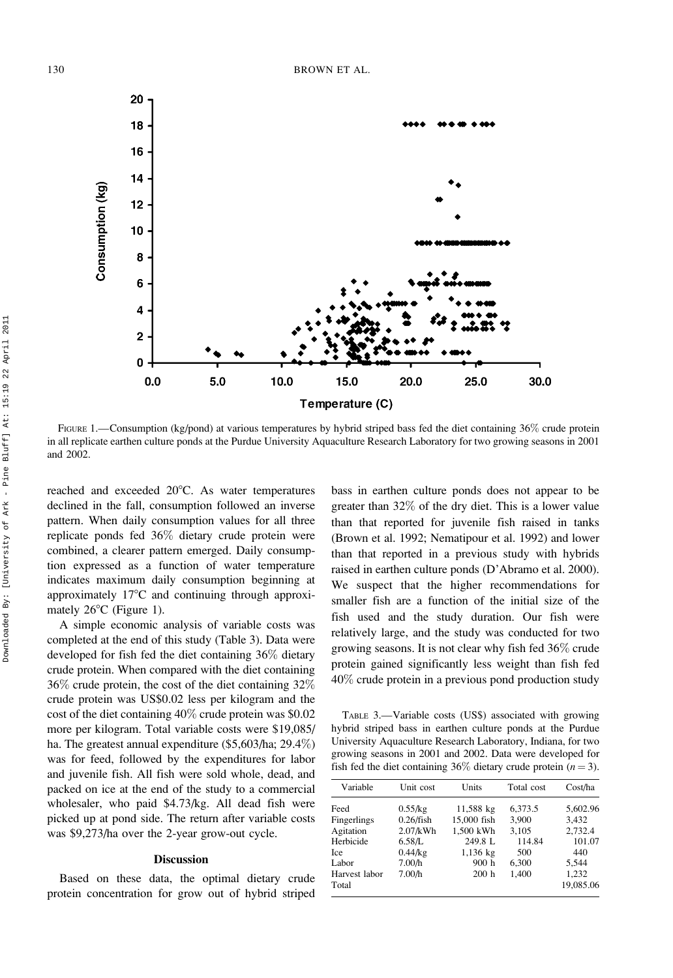

FIGURE 1.—Consumption (kg/pond) at various temperatures by hybrid striped bass fed the diet containing 36% crude protein in all replicate earthen culture ponds at the Purdue University Aquaculture Research Laboratory for two growing seasons in 2001 and 2002.

reached and exceeded 20°C. As water temperatures declined in the fall, consumption followed an inverse pattern. When daily consumption values for all three replicate ponds fed 36% dietary crude protein were combined, a clearer pattern emerged. Daily consumption expressed as a function of water temperature indicates maximum daily consumption beginning at approximately  $17^{\circ}$ C and continuing through approximately  $26^{\circ}$ C (Figure 1).

A simple economic analysis of variable costs was completed at the end of this study (Table 3). Data were developed for fish fed the diet containing 36% dietary crude protein. When compared with the diet containing 36% crude protein, the cost of the diet containing 32% crude protein was US\$0.02 less per kilogram and the cost of the diet containing 40% crude protein was \$0.02 more per kilogram. Total variable costs were \$19,085/ ha. The greatest annual expenditure (\$5,603/ha; 29.4%) was for feed, followed by the expenditures for labor and juvenile fish. All fish were sold whole, dead, and packed on ice at the end of the study to a commercial wholesaler, who paid \$4.73/kg. All dead fish were picked up at pond side. The return after variable costs was \$9,273/ha over the 2-year grow-out cycle.

#### **Discussion**

Based on these data, the optimal dietary crude protein concentration for grow out of hybrid striped

bass in earthen culture ponds does not appear to be greater than 32% of the dry diet. This is a lower value than that reported for juvenile fish raised in tanks (Brown et al. 1992; Nematipour et al. 1992) and lower than that reported in a previous study with hybrids raised in earthen culture ponds (D'Abramo et al. 2000). We suspect that the higher recommendations for smaller fish are a function of the initial size of the fish used and the study duration. Our fish were relatively large, and the study was conducted for two growing seasons. It is not clear why fish fed 36% crude protein gained significantly less weight than fish fed 40% crude protein in a previous pond production study

TABLE 3.—Variable costs (US\$) associated with growing hybrid striped bass in earthen culture ponds at the Purdue University Aquaculture Research Laboratory, Indiana, for two growing seasons in 2001 and 2002. Data were developed for fish fed the diet containing 36% dietary crude protein  $(n = 3)$ .

| Variable      | Unit cost    | Units       | Total cost | Cost/ha   |
|---------------|--------------|-------------|------------|-----------|
| Feed          | $0.55$ /kg   | 11,588 kg   | 6,373.5    | 5,602.96  |
| Fingerlings   | $0.26$ /fish | 15,000 fish | 3.900      | 3.432     |
| Agitation     | $2.07$ /kWh  | 1,500 kWh   | 3,105      | 2,732.4   |
| Herbicide     | 6.58/L       | 249.8 L     | 114.84     | 101.07    |
| Ice           | $0.44$ /kg   | $1,136$ kg  | 500        | 440       |
| Labor         | 7.00/h       | 900h        | 6,300      | 5.544     |
| Harvest labor | 7.00/h       | 200h        | 1,400      | 1,232     |
| Total         |              |             |            | 19,085.06 |